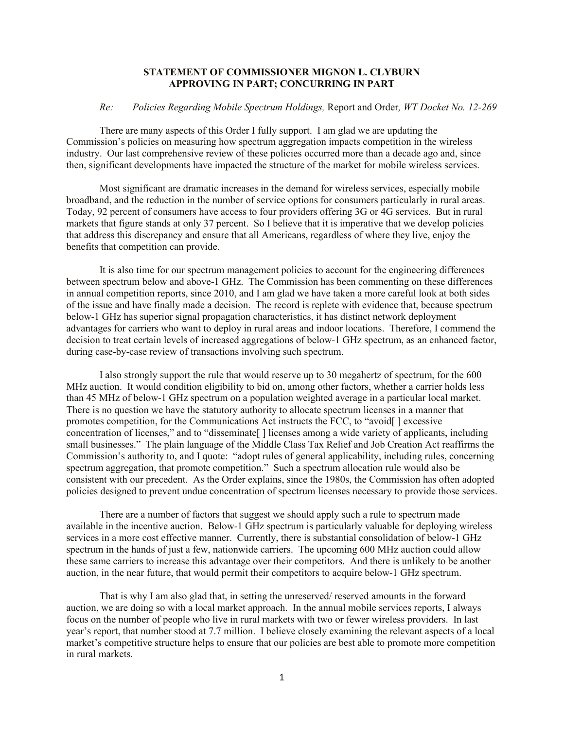## **STATEMENT OF COMMISSIONER MIGNON L. CLYBURN APPROVING IN PART; CONCURRING IN PART**

## *Re: Policies Regarding Mobile Spectrum Holdings,* Report and Order*, WT Docket No. 12-269*

There are many aspects of this Order I fully support. I am glad we are updating the Commission's policies on measuring how spectrum aggregation impacts competition in the wireless industry. Our last comprehensive review of these policies occurred more than a decade ago and, since then, significant developments have impacted the structure of the market for mobile wireless services.

Most significant are dramatic increases in the demand for wireless services, especially mobile broadband, and the reduction in the number of service options for consumers particularly in rural areas. Today, 92 percent of consumers have access to four providers offering 3G or 4G services. But in rural markets that figure stands at only 37 percent. So I believe that it is imperative that we develop policies that address this discrepancy and ensure that all Americans, regardless of where they live, enjoy the benefits that competition can provide.

It is also time for our spectrum management policies to account for the engineering differences between spectrum below and above-1 GHz. The Commission has been commenting on these differences in annual competition reports, since 2010, and I am glad we have taken a more careful look at both sides of the issue and have finally made a decision. The record is replete with evidence that, because spectrum below-1 GHz has superior signal propagation characteristics, it has distinct network deployment advantages for carriers who want to deploy in rural areas and indoor locations. Therefore, I commend the decision to treat certain levels of increased aggregations of below-1 GHz spectrum, as an enhanced factor, during case-by-case review of transactions involving such spectrum.

I also strongly support the rule that would reserve up to 30 megahertz of spectrum, for the 600 MHz auction. It would condition eligibility to bid on, among other factors, whether a carrier holds less than 45 MHz of below-1 GHz spectrum on a population weighted average in a particular local market. There is no question we have the statutory authority to allocate spectrum licenses in a manner that promotes competition, for the Communications Act instructs the FCC, to "avoid[ ] excessive concentration of licenses," and to "disseminate<sup>[]</sup> licenses among a wide variety of applicants, including small businesses." The plain language of the Middle Class Tax Relief and Job Creation Act reaffirms the Commission's authority to, and I quote: "adopt rules of general applicability, including rules, concerning spectrum aggregation, that promote competition." Such a spectrum allocation rule would also be consistent with our precedent. As the Order explains, since the 1980s, the Commission has often adopted policies designed to prevent undue concentration of spectrum licenses necessary to provide those services.

There are a number of factors that suggest we should apply such a rule to spectrum made available in the incentive auction. Below-1 GHz spectrum is particularly valuable for deploying wireless services in a more cost effective manner. Currently, there is substantial consolidation of below-1 GHz spectrum in the hands of just a few, nationwide carriers. The upcoming 600 MHz auction could allow these same carriers to increase this advantage over their competitors. And there is unlikely to be another auction, in the near future, that would permit their competitors to acquire below-1 GHz spectrum.

That is why I am also glad that, in setting the unreserved/ reserved amounts in the forward auction, we are doing so with a local market approach. In the annual mobile services reports, I always focus on the number of people who live in rural markets with two or fewer wireless providers. In last year's report, that number stood at 7.7 million. I believe closely examining the relevant aspects of a local market's competitive structure helps to ensure that our policies are best able to promote more competition in rural markets.